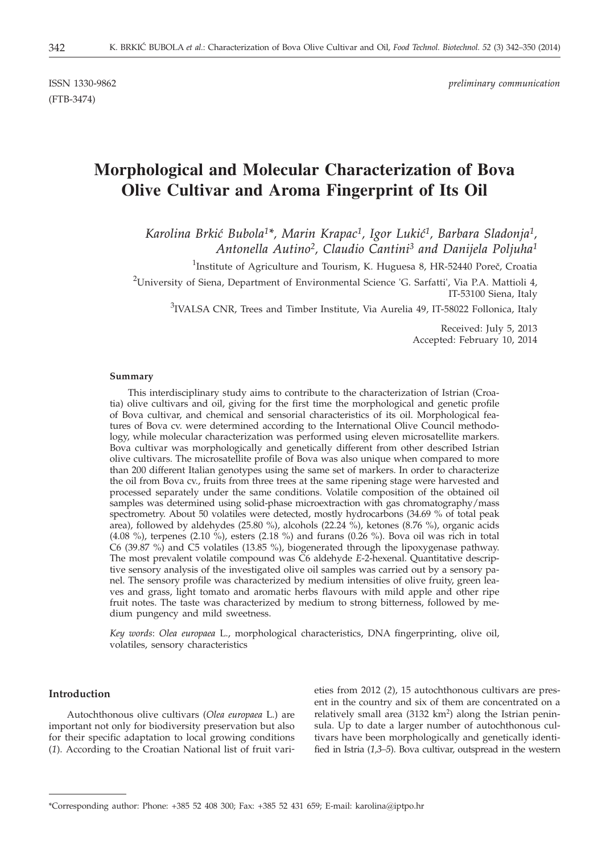(FTB-3474)

# **Morphological and Molecular Characterization of Bova Olive Cultivar and Aroma Fingerprint of Its Oil**

Karolina Brkić Bubola<sup>1\*</sup>, Marin Krapac<sup>1</sup>, Igor Lukić<sup>1</sup>, Barbara Sladonja<sup>1</sup>, *Antonella Autino2, Claudio Cantini3 and Danijela Poljuha1*

<sup>1</sup>Institute of Agriculture and Tourism, K. Huguesa 8, HR-52440 Poreč, Croatia

<sup>2</sup>University of Siena, Department of Environmental Science 'G. Sarfatti', Via P.A. Mattioli 4, IT-53100 Siena, Italy

 $3$ IVALSA CNR, Trees and Timber Institute, Via Aurelia 49, IT-58022 Follonica, Italy

Received: July 5, 2013 Accepted: February 10, 2014

#### **Summary**

This interdisciplinary study aims to contribute to the characterization of Istrian (Croatia) olive cultivars and oil, giving for the first time the morphological and genetic profile of Bova cultivar, and chemical and sensorial characteristics of its oil. Morphological features of Bova cv. were determined according to the International Olive Council methodology, while molecular characterization was performed using eleven microsatellite markers. Bova cultivar was morphologically and genetically different from other described Istrian olive cultivars. The microsatellite profile of Bova was also unique when compared to more than 200 different Italian genotypes using the same set of markers. In order to characterize the oil from Bova cv., fruits from three trees at the same ripening stage were harvested and processed separately under the same conditions. Volatile composition of the obtained oil samples was determined using solid-phase microextraction with gas chromatography/mass spectrometry. About 50 volatiles were detected, mostly hydrocarbons (34.69 % of total peak area), followed by aldehydes (25.80 %), alcohols (22.24 %), ketones (8.76 %), organic acids (4.08 %), terpenes (2.10 %), esters (2.18 %) and furans (0.26 %). Bova oil was rich in total C6 (39.87 %) and C5 volatiles (13.85 %), biogenerated through the lipoxygenase pathway. The most prevalent volatile compound was C6 aldehyde *E*-2-hexenal. Quantitative descriptive sensory analysis of the investigated olive oil samples was carried out by a sensory panel. The sensory profile was characterized by medium intensities of olive fruity, green leaves and grass, light tomato and aromatic herbs flavours with mild apple and other ripe fruit notes. The taste was characterized by medium to strong bitterness, followed by medium pungency and mild sweetness.

*Key words*: *Olea europaea* L., morphological characteristics, DNA fingerprinting, olive oil, volatiles, sensory characteristics

## **Introduction**

Autochthonous olive cultivars (*Olea europaea* L.) are important not only for biodiversity preservation but also for their specific adaptation to local growing conditions (*1*). According to the Croatian National list of fruit varieties from 2012 (*2*), 15 autochthonous cultivars are present in the country and six of them are concentrated on a relatively small area (3132 km<sup>2</sup>) along the Istrian peninsula. Up to date a larger number of autochthonous cultivars have been morphologically and genetically identified in Istria (*1,3–5*). Bova cultivar, outspread in the western

<sup>\*</sup>Corresponding author: Phone: +385 52 408 300; Fax: +385 52 431 659; E-mail: karolina@iptpo.hr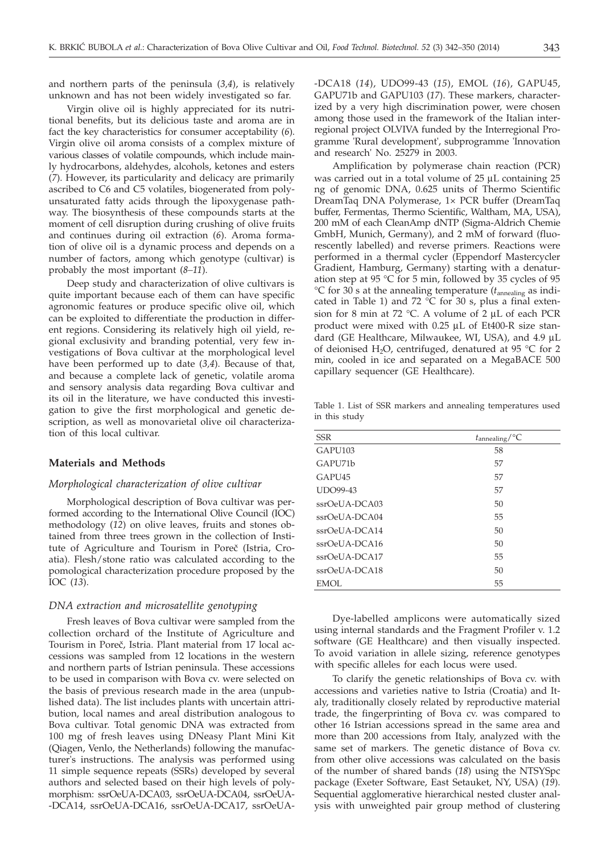and northern parts of the peninsula (*3,4*), is relatively unknown and has not been widely investigated so far.

Virgin olive oil is highly appreciated for its nutritional benefits, but its delicious taste and aroma are in fact the key characteristics for consumer acceptability (*6*). Virgin olive oil aroma consists of a complex mixture of various classes of volatile compounds, which include mainly hydrocarbons, aldehydes, alcohols, ketones and esters (*7*). However, its particularity and delicacy are primarily ascribed to C6 and C5 volatiles, biogenerated from polyunsaturated fatty acids through the lipoxygenase pathway. The biosynthesis of these compounds starts at the moment of cell disruption during crushing of olive fruits and continues during oil extraction (*6*). Aroma formation of olive oil is a dynamic process and depends on a number of factors, among which genotype (cultivar) is probably the most important (*8–11*).

Deep study and characterization of olive cultivars is quite important because each of them can have specific agronomic features or produce specific olive oil, which can be exploited to differentiate the production in different regions. Considering its relatively high oil yield, regional exclusivity and branding potential, very few investigations of Bova cultivar at the morphological level have been performed up to date (*3,4*). Because of that, and because a complete lack of genetic, volatile aroma and sensory analysis data regarding Bova cultivar and its oil in the literature, we have conducted this investigation to give the first morphological and genetic description, as well as monovarietal olive oil characterization of this local cultivar.

## **Materials and Methods**

# *Morphological characterization of olive cultivar*

Morphological description of Bova cultivar was performed according to the International Olive Council (IOC) methodology (*12*) on olive leaves, fruits and stones obtained from three trees grown in the collection of Institute of Agriculture and Tourism in Poreč (Istria, Croatia). Flesh/stone ratio was calculated according to the pomological characterization procedure proposed by the IOC (*13*).

#### *DNA extraction and microsatellite genotyping*

Fresh leaves of Bova cultivar were sampled from the collection orchard of the Institute of Agriculture and Tourism in Poreč, Istria. Plant material from 17 local accessions was sampled from 12 locations in the western and northern parts of Istrian peninsula. These accessions to be used in comparison with Bova cv. were selected on the basis of previous research made in the area (unpublished data). The list includes plants with uncertain attribution, local names and areal distribution analogous to Bova cultivar. Total genomic DNA was extracted from 100 mg of fresh leaves using DNeasy Plant Mini Kit (Qiagen, Venlo, the Netherlands) following the manufacturer's instructions. The analysis was performed using 11 simple sequence repeats (SSRs) developed by several authors and selected based on their high levels of polymorphism: ssrOeUA-DCA03, ssrOeUA-DCA04, ssrOeUA- -DCA14, ssrOeUA-DCA16, ssrOeUA-DCA17, ssrOeUA-

-DCA18 (*14*), UDO99-43 (*15*), EMOL (*16*), GAPU45, GAPU71b and GAPU103 (*17*). These markers, characterized by a very high discrimination power, were chosen among those used in the framework of the Italian interregional project OLVIVA funded by the Interregional Programme 'Rural development', subprogramme 'Innovation and research' No. 25279 in 2003.

Amplification by polymerase chain reaction (PCR) was carried out in a total volume of 25 µL containing 25 ng of genomic DNA, 0.625 units of Thermo Scientific DreamTaq DNA Polymerase, 1× PCR buffer (DreamTaq buffer, Fermentas, Thermo Scientific, Waltham, MA, USA), 200 mM of each CleanAmp dNTP (Sigma-Aldrich Chemie GmbH, Munich, Germany), and 2 mM of forward (fluorescently labelled) and reverse primers. Reactions were performed in a thermal cycler (Eppendorf Mastercycler Gradient, Hamburg, Germany) starting with a denaturation step at 95 °C for 5 min, followed by 35 cycles of 95 °C for 30 s at the annealing temperature ( $t_{\text{annealing}}$  as indicated in Table 1) and 72  $\mathrm{^{\circ}C}$  for 30 s, plus a final extension for 8 min at 72 °C. A volume of  $2 \mu L$  of each PCR product were mixed with  $0.25 \mu L$  of Et400-R size standard (GE Healthcare, Milwaukee, WI, USA), and 4.9 µL of deionised H<sub>2</sub>O, centrifuged, denatured at 95  $\degree$ C for 2 min, cooled in ice and separated on a MegaBACE 500 capillary sequencer (GE Healthcare).

Table 1. List of SSR markers and annealing temperatures used in this study

| <b>SSR</b>          | $t_{\text{annealing}}$ /°C |
|---------------------|----------------------------|
| GAPU <sub>103</sub> | 58                         |
| GAPU71b             | 57                         |
| GAPU <sub>45</sub>  | 57                         |
| <b>UDO99-43</b>     | 57                         |
| $ssr$ OeUA-DCA03    | 50                         |
| $ssr$ OeUA-DCA04    | 55                         |
| $ssr$ OeUA-DCA14    | 50                         |
| $ssr$ OeUA-DCA16    | 50                         |
| $ssr$ OeUA-DCA17    | 55                         |
| $ssr$ OeUA-DCA18    | 50                         |
| <b>EMOL</b>         | 55                         |

Dye-labelled amplicons were automatically sized using internal standards and the Fragment Profiler v. 1.2 software (GE Healthcare) and then visually inspected. To avoid variation in allele sizing, reference genotypes with specific alleles for each locus were used.

To clarify the genetic relationships of Bova cv. with accessions and varieties native to Istria (Croatia) and Italy, traditionally closely related by reproductive material trade, the fingerprinting of Bova cv. was compared to other 16 Istrian accessions spread in the same area and more than 200 accessions from Italy, analyzed with the same set of markers. The genetic distance of Bova cv. from other olive accessions was calculated on the basis of the number of shared bands (*18*) using the NTSYSpc package (Exeter Software, East Setauket, NY, USA) (*19*). Sequential agglomerative hierarchical nested cluster analysis with unweighted pair group method of clustering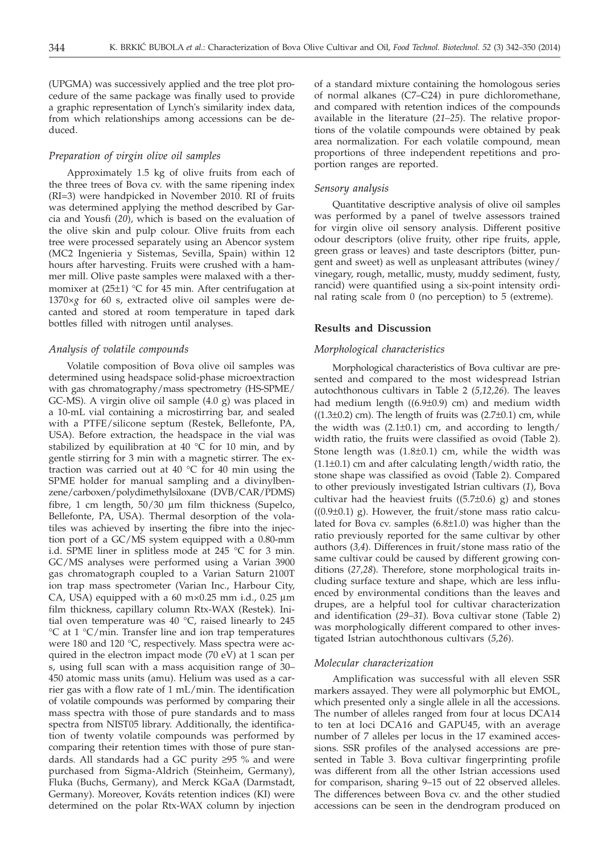(UPGMA) was successively applied and the tree plot procedure of the same package was finally used to provide a graphic representation of Lynch's similarity index data, from which relationships among accessions can be deduced.

## *Preparation of virgin olive oil samples*

Approximately 1.5 kg of olive fruits from each of the three trees of Bova cv. with the same ripening index (RI=3) were handpicked in November 2010. RI of fruits was determined applying the method described by Garcia and Yousfi (*20*), which is based on the evaluation of the olive skin and pulp colour. Olive fruits from each tree were processed separately using an Abencor system (MC2 Ingenieria y Sistemas, Sevilla, Spain) within 12 hours after harvesting. Fruits were crushed with a hammer mill. Olive paste samples were malaxed with a thermomixer at  $(25\pm1)$  °C for 45 min. After centrifugation at 1370×*g* for 60 s, extracted olive oil samples were decanted and stored at room temperature in taped dark bottles filled with nitrogen until analyses.

# *Analysis of volatile compounds*

Volatile composition of Bova olive oil samples was determined using headspace solid-phase microextraction with gas chromatography/mass spectrometry (HS-SPME/ GC-MS). A virgin olive oil sample (4.0 g) was placed in a 10-mL vial containing a microstirring bar, and sealed with a PTFE/silicone septum (Restek, Bellefonte, PA, USA). Before extraction, the headspace in the vial was stabilized by equilibration at 40  $\rm{°C}$  for 10 min, and by gentle stirring for 3 min with a magnetic stirrer. The extraction was carried out at 40 °C for 40 min using the SPME holder for manual sampling and a divinylbenzene/carboxen/polydimethylsiloxane (DVB/CAR/PDMS) fibre, 1 cm length,  $50/30 \mu m$  film thickness (Supelco, Bellefonte, PA, USA). Thermal desorption of the volatiles was achieved by inserting the fibre into the injection port of a GC/MS system equipped with a 0.80-mm i.d. SPME liner in splitless mode at 245 °C for 3 min. GC/MS analyses were performed using a Varian 3900 gas chromatograph coupled to a Varian Saturn 2100T ion trap mass spectrometer (Varian Inc., Harbour City, CA, USA) equipped with a  $60 \text{ m} \times 0.25 \text{ mm}$  i.d.,  $0.25 \text{ }\mu\text{m}$ film thickness, capillary column Rtx-WAX (Restek). Initial oven temperature was 40 °C, raised linearly to 245 °C at 1 °C/min. Transfer line and ion trap temperatures were 180 and 120 °C, respectively. Mass spectra were acquired in the electron impact mode (70 eV) at 1 scan per s, using full scan with a mass acquisition range of 30– 450 atomic mass units (amu). Helium was used as a carrier gas with a flow rate of 1 mL/min. The identification of volatile compounds was performed by comparing their mass spectra with those of pure standards and to mass spectra from NIST05 library. Additionally, the identification of twenty volatile compounds was performed by comparing their retention times with those of pure standards. All standards had a GC purity  $\geq$ 95 % and were purchased from Sigma-Aldrich (Steinheim, Germany), Fluka (Buchs, Germany), and Merck KGaA (Darmstadt, Germany). Moreover, Kováts retention indices (KI) were determined on the polar Rtx-WAX column by injection

of a standard mixture containing the homologous series of normal alkanes (C7–C24) in pure dichloromethane, and compared with retention indices of the compounds available in the literature (*21–25*). The relative proportions of the volatile compounds were obtained by peak area normalization. For each volatile compound, mean proportions of three independent repetitions and proportion ranges are reported.

#### *Sensory analysis*

Quantitative descriptive analysis of olive oil samples was performed by a panel of twelve assessors trained for virgin olive oil sensory analysis. Different positive odour descriptors (olive fruity, other ripe fruits, apple, green grass or leaves) and taste descriptors (bitter, pungent and sweet) as well as unpleasant attributes (winey/ vinegary, rough, metallic, musty, muddy sediment, fusty, rancid) were quantified using a six-point intensity ordinal rating scale from 0 (no perception) to 5 (extreme).

#### **Results and Discussion**

## *Morphological characteristics*

Morphological characteristics of Bova cultivar are presented and compared to the most widespread Istrian autochthonous cultivars in Table 2 (*5,12,26*). The leaves had medium length  $((6.9\pm0.9)$  cm) and medium width  $((1.3\pm0.2)$  cm). The length of fruits was  $(2.7\pm0.1)$  cm, while the width was  $(2.1\pm0.1)$  cm, and according to length/ width ratio, the fruits were classified as ovoid (Table 2). Stone length was  $(1.8\pm0.1)$  cm, while the width was  $(1.1\pm0.1)$  cm and after calculating length/width ratio, the stone shape was classified as ovoid (Table 2). Compared to other previously investigated Istrian cultivars (*1*), Bova cultivar had the heaviest fruits  $((5.7\pm0.6)$  g) and stones  $((0.9\pm0.1)$  g). However, the fruit/stone mass ratio calculated for Bova cv. samples  $(6.8\pm1.0)$  was higher than the ratio previously reported for the same cultivar by other authors (*3,4*). Differences in fruit/stone mass ratio of the same cultivar could be caused by different growing conditions (*27,28*). Therefore, stone morphological traits including surface texture and shape, which are less influenced by environmental conditions than the leaves and drupes, are a helpful tool for cultivar characterization and identification (*29–31*). Bova cultivar stone (Table 2) was morphologically different compared to other investigated Istrian autochthonous cultivars (*5,26*).

#### *Molecular characterization*

Amplification was successful with all eleven SSR markers assayed. They were all polymorphic but EMOL, which presented only a single allele in all the accessions. The number of alleles ranged from four at locus DCA14 to ten at loci DCA16 and GAPU45, with an average number of 7 alleles per locus in the 17 examined accessions. SSR profiles of the analysed accessions are presented in Table 3. Bova cultivar fingerprinting profile was different from all the other Istrian accessions used for comparison, sharing 9–15 out of 22 observed alleles. The differences between Bova cv. and the other studied accessions can be seen in the dendrogram produced on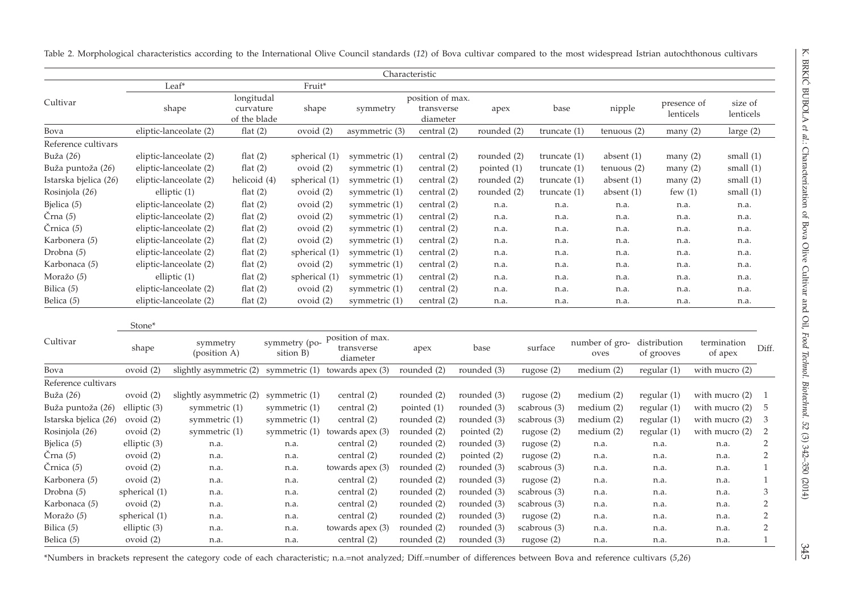|                       |                |                         |              |                 |                                    | Characteristic   |               |      |                |                |                        |                  |                           |
|-----------------------|----------------|-------------------------|--------------|-----------------|------------------------------------|------------------|---------------|------|----------------|----------------|------------------------|------------------|---------------------------|
|                       |                | $Leaf*$                 |              | Fruit*          |                                    |                  |               |      |                |                |                        |                  |                           |
| Cultivar              |                |                         | longitudal   |                 |                                    | position of max. |               |      |                |                | presence of            | size of          |                           |
|                       |                | shape                   | curvature    | shape           | symmetry                           | transverse       |               | apex | base           | nipple         | lenticels              | lenticels        |                           |
|                       |                |                         | of the blade |                 |                                    | diameter         |               |      |                |                |                        |                  |                           |
| Bova                  |                | eliptic-lanceolate (2)  | flat $(2)$   | ovoid $(2)$     | asymmetric (3)                     | central (2)      | rounded (2)   |      | truncate $(1)$ | tenuous(2)     | many(2)                | large $(2)$      |                           |
| Reference cultivars   |                |                         |              |                 |                                    |                  |               |      |                |                |                        |                  |                           |
| Buža (26)             |                | eliptic-lanceolate (2)  | flat $(2)$   | spherical (1)   | symmetric $(1)$                    | central (2)      | rounded (2)   |      | truncate $(1)$ | absent $(1)$   | many(2)                | small $(1)$      |                           |
| Buža puntoža (26)     |                | eliptic-lanceolate (2)  | flat $(2)$   | ovoid $(2)$     | symmetric (1)                      | central (2)      | pointed $(1)$ |      | truncate $(1)$ | tenuous (2)    | many(2)                | small $(1)$      |                           |
| Istarska bjelica (26) |                | eliptic-lanceolate (2)  | helicoid (4) | spherical (1)   | symmetric $(1)$                    | central (2)      | rounded (2)   |      | truncate $(1)$ | absent $(1)$   | many(2)                | small $(1)$      |                           |
| Rosinjola (26)        |                | elliptic (1)            | flat $(2)$   | ovoid $(2)$     | symmetric (1)                      | central (2)      | rounded (2)   |      | truncate $(1)$ | absent (1)     | few $(1)$              | small $(1)$      |                           |
| Bjelica (5)           |                | eliptic-lanceolate (2)  | flat $(2)$   | ovoid $(2)$     | symmetric (1)                      | central (2)      |               | n.a. | n.a.           | n.a.           | n.a.                   | n.a.             |                           |
| Črna $(5)$            |                | eliptic-lanceolate (2)  | flat $(2)$   | ovoid $(2)$     | symmetric (1)                      | central (2)      |               | n.a. | n.a.           | n.a.           | n.a.                   | n.a.             |                           |
| Črnica (5)            |                | eliptic-lanceolate (2)  | flat $(2)$   | ovoid (2)       | symmetric (1)                      | central (2)      |               | n.a. | n.a.           | n.a.           | n.a.                   | n.a.             |                           |
| Karbonera (5)         |                | eliptic-lanceolate (2)  | flat $(2)$   | ovoid (2)       | symmetric (1)                      | central (2)      | n.a.          |      | n.a.           | n.a.           | n.a.                   | n.a.             |                           |
| Drobna (5)            |                | eliptic-lanceolate (2)  | flat $(2)$   | spherical (1)   | symmetric (1)                      | central (2)      |               | n.a. | n.a.           | n.a.           | n.a.                   | n.a.             |                           |
| Karbonaca (5)         |                | eliptic-lanceolate (2)  | flat $(2)$   | ovoid $(2)$     | symmetric (1)                      | central (2)      |               | n.a. | n.a.           | n.a.           | n.a.                   | n.a.             |                           |
| Moražo (5)            |                | elliptic (1)            | flat $(2)$   | spherical (1)   | symmetric (1)                      | central (2)      |               | n.a. | n.a.           | n.a.           | n.a.                   | n.a.             |                           |
| Bilica (5)            |                | eliptic-lanceolate (2)  | flat $(2)$   | ovoid (2)       | symmetric (1)                      | central (2)      |               | n.a. | n.a.           | n.a.           | n.a.                   | n.a.             |                           |
| Belica $(5)$          |                | eliptic-lanceolate (2)  | flat $(2)$   | ovoid (2)       | symmetric (1)                      | central (2)      | n.a.          |      | n.a.           | n.a.           | n.a.                   | n.a.             |                           |
|                       |                |                         |              |                 |                                    |                  |               |      |                |                |                        |                  |                           |
|                       | Stone*         |                         |              |                 |                                    |                  |               |      |                |                |                        |                  |                           |
| Cultivar              | shape          | symmetry                |              | symmetry (po-   | position of max.<br>transverse     | apex             | base          |      | surface        | number of gro- | distribution           | termination      | Diff.                     |
|                       |                | (position A)            |              | sition B)       | diameter                           |                  |               |      |                | oves           | of grooves             | of apex          |                           |
| Bova                  | ovoid (2)      | slightly asymmetric (2) |              |                 | symmetric $(1)$ towards apex $(3)$ | rounded (2)      | rounded (3)   |      | rugose (2)     | median(2)      | regular $(1)$          | with mucro (2)   |                           |
| Reference cultivars   |                |                         |              |                 |                                    |                  |               |      |                |                |                        |                  |                           |
| Buža (26)             | ovoid (2)      | slightly asymmetric (2) |              | symmetric (1)   | central (2)                        | rounded (2)      | rounded (3)   |      | rugose $(2)$   | medium (2)     | regular $(1)$          | with mucro $(2)$ | $\overline{1}$            |
| Buža puntoža (26)     | elliptic $(3)$ | symmetric (1)           |              | symmetric (1)   | central (2)                        | pointed (1)      | rounded (3)   |      | scabrous (3)   | medium (2)     | regular <sub>(1)</sub> | with mucro $(2)$ | - 5                       |
| Istarska bjelica (26) | ovoid (2)      | symmetric (1)           |              | symmetric $(1)$ | central (2)                        | rounded (2)      | rounded (3)   |      | scabrous (3)   | medium (2)     | regular <sub>(1)</sub> | with mucro (2)   | $\overline{\mathbf{3}}$   |
| Rosinjola (26)        | ovoid (2)      | symmetric (1)           |              | symmetric (1)   | towards apex $(3)$                 | rounded (2)      | pointed (2)   |      | rugose (2)     | median(2)      | regular <sub>(1)</sub> | with mucro $(2)$ | $\overline{2}$            |
| Bjelica (5)           | elliptic (3)   | n.a.                    |              | n.a.            | central (2)                        | rounded (2)      | rounded (3)   |      | rugose $(2)$   | n.a.           | n.a.                   | n.a.             | $\overline{2}$            |
| Črna $(5)$            | ovoid (2)      | n.a.                    |              | n.a.            | central (2)                        | rounded (2)      | pointed (2)   |      | rugose $(2)$   | n.a.           | n.a.                   | n.a.             | $\overline{2}$            |
| Črnica (5)            | ovoid (2)      | n.a.                    |              | n.a.            | towards apex (3)                   | rounded (2)      | rounded (3)   |      | scabrous (3)   | n.a.           | n.a.                   | n.a.             | 1                         |
| Karbonera (5)         | ovoid (2)      | n.a.                    |              | n.a.            | central (2)                        | rounded (2)      | rounded (3)   |      | rugose (2)     | n.a.           | n.a.                   | n.a.             | 1                         |
| Drobna (5)            | spherical (1)  | n.a.                    |              | n.a.            | central (2)                        | rounded (2)      | rounded (3)   |      | scabrous (3)   | n.a.           | n.a.                   | n.a.             | $\ensuremath{\mathsf{3}}$ |
| Karbonaca (5)         | ovoid (2)      | n.a.                    |              | n.a.            | central (2)                        | rounded (2)      | rounded (3)   |      | scabrous (3)   | n.a.           | n.a.                   | n.a.             | $\overline{2}$            |
| Moražo (5)            | spherical (1)  | n.a.                    |              | n.a.            | central (2)                        | rounded (2)      | rounded (3)   |      | rugose $(2)$   | n.a.           | n.a.                   | n.a.             | $\sqrt{2}$                |
| Bilica $(5)$          | elliptic (3)   | n.a.                    |              | n.a.            | towards apex (3)                   | rounded (2)      | rounded (3)   |      | scabrous (3)   | n.a.           | n.a.                   | n.a.             | $\sqrt{2}$                |
| Belica $(5)$          | ovoid (2)      | n.a.                    |              | n.a.            | central (2)                        | rounded (2)      | rounded (3)   |      | rugose $(2)$   | n.a.           | n.a.                   | n.a.             | 1                         |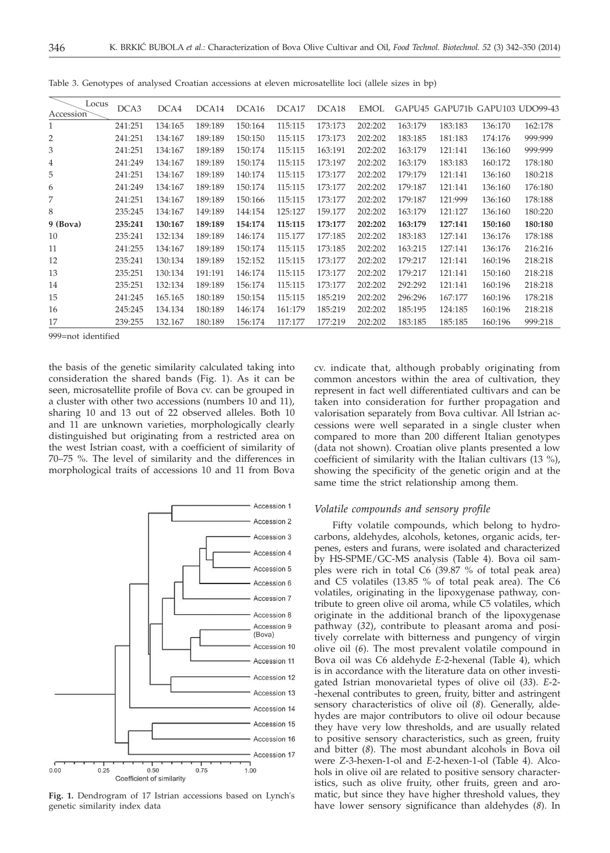| Locus<br>Accession | DCA3    | DCA4    | DCA14   | DCA16   | DCA17   | DCA <sub>18</sub> | EMOL    |         | GAPU45 GAPU71b GAPU103 UDO99-43 |         |         |
|--------------------|---------|---------|---------|---------|---------|-------------------|---------|---------|---------------------------------|---------|---------|
| 1                  | 241:251 | 134:165 | 189:189 | 150:164 | 115:115 | 173:173           | 202:202 | 163:179 | 183:183                         | 136:170 | 162:178 |
| 2                  | 241:251 | 134:167 | 189:189 | 150:150 | 115:115 | 173:173           | 202:202 | 183:185 | 181:183                         | 174:176 | 999:999 |
| 3                  | 241:251 | 134:167 | 189:189 | 150:174 | 115:115 | 163:191           | 202:202 | 163:179 | 121:141                         | 136:160 | 999:999 |
| 4                  | 241:249 | 134:167 | 189:189 | 150:174 | 115:115 | 173:197           | 202:202 | 163:179 | 183:183                         | 160:172 | 178:180 |
| 5                  | 241:251 | 134:167 | 189:189 | 140:174 | 115:115 | 173:177           | 202:202 | 179:179 | 121:141                         | 136:160 | 180:218 |
| 6                  | 241:249 | 134:167 | 189:189 | 150:174 | 115:115 | 173:177           | 202:202 | 179:187 | 121:141                         | 136:160 | 176:180 |
| 7                  | 241:251 | 134:167 | 189:189 | 150:166 | 115:115 | 173:177           | 202:202 | 179:187 | 121:999                         | 136:160 | 178:188 |
| 8                  | 235:245 | 134:167 | 149:189 | 144:154 | 125:127 | 159.177           | 202:202 | 163:179 | 121:127                         | 136:160 | 180:220 |
| 9 (Bova)           | 235:241 | 130:167 | 189:189 | 154:174 | 115:115 | 173:177           | 202:202 | 163:179 | 127:141                         | 150:160 | 180:180 |
| 10                 | 235:241 | 132:134 | 189:189 | 146:174 | 115.177 | 177:185           | 202:202 | 183:183 | 127:141                         | 136:176 | 178:188 |
| 11                 | 241:255 | 134:167 | 189:189 | 150:174 | 115:115 | 173:185           | 202:202 | 163:215 | 127:141                         | 136:176 | 216:216 |
| 12                 | 235:241 | 130:134 | 189:189 | 152:152 | 115:115 | 173:177           | 202:202 | 179:217 | 121:141                         | 160:196 | 218:218 |
| 13                 | 235:251 | 130:134 | 191:191 | 146:174 | 115:115 | 173:177           | 202:202 | 179:217 | 121:141                         | 150:160 | 218:218 |
| 14                 | 235:251 | 132:134 | 189:189 | 156:174 | 115:115 | 173:177           | 202:202 | 292:292 | 121:141                         | 160:196 | 218:218 |
| 15                 | 241:245 | 165.165 | 180:189 | 150:154 | 115:115 | 185:219           | 202:202 | 296:296 | 167:177                         | 160:196 | 178:218 |
| 16                 | 245:245 | 134.134 | 180:189 | 146:174 | 161:179 | 185:219           | 202:202 | 185:195 | 124:185                         | 160:196 | 218:218 |
| 17                 | 239:255 | 132.167 | 180:189 | 156:174 | 117:177 | 177:219           | 202:202 | 183:185 | 185:185                         | 160:196 | 999:218 |
|                    |         |         |         |         |         |                   |         |         |                                 |         |         |

Table 3. Genotypes of analysed Croatian accessions at eleven microsatellite loci (allele sizes in bp)

999=not identified

the basis of the genetic similarity calculated taking into consideration the shared bands (Fig. 1). As it can be seen, microsatellite profile of Bova cv. can be grouped in a cluster with other two accessions (numbers 10 and 11), sharing 10 and 13 out of 22 observed alleles. Both 10 and 11 are unknown varieties, morphologically clearly distinguished but originating from a restricted area on the west Istrian coast, with a coefficient of similarity of 70–75 %. The level of similarity and the differences in morphological traits of accessions 10 and 11 from Bova



**Fig. 1.** Dendrogram of 17 Istrian accessions based on Lynch's genetic similarity index data

cv. indicate that, although probably originating from common ancestors within the area of cultivation, they represent in fact well differentiated cultivars and can be taken into consideration for further propagation and valorisation separately from Bova cultivar. All Istrian accessions were well separated in a single cluster when compared to more than 200 different Italian genotypes (data not shown). Croatian olive plants presented a low coefficient of similarity with the Italian cultivars (13 %), showing the specificity of the genetic origin and at the same time the strict relationship among them.

## *Volatile compounds and sensory profile*

Fifty volatile compounds, which belong to hydrocarbons, aldehydes, alcohols, ketones, organic acids, terpenes, esters and furans, were isolated and characterized by HS-SPME/GC-MS analysis (Table 4). Bova oil samples were rich in total C6 (39.87 % of total peak area) and C5 volatiles (13.85 % of total peak area). The C6 volatiles, originating in the lipoxygenase pathway, contribute to green olive oil aroma, while C5 volatiles, which originate in the additional branch of the lipoxygenase pathway (*32*), contribute to pleasant aroma and positively correlate with bitterness and pungency of virgin olive oil (*6*). The most prevalent volatile compound in Bova oil was C6 aldehyde *E*-2-hexenal (Table 4), which is in accordance with the literature data on other investigated Istrian monovarietal types of olive oil (*33*). *E*-2- -hexenal contributes to green, fruity, bitter and astringent sensory characteristics of olive oil (*8*). Generally, aldehydes are major contributors to olive oil odour because they have very low thresholds, and are usually related to positive sensory characteristics, such as green, fruity and bitter (*8*). The most abundant alcohols in Bova oil were *Z*-3-hexen-1-ol and *E*-2-hexen-1-ol (Table 4). Alcohols in olive oil are related to positive sensory characteristics, such as olive fruity, other fruits, green and aromatic, but since they have higher threshold values, they have lower sensory significance than aldehydes (*8*). In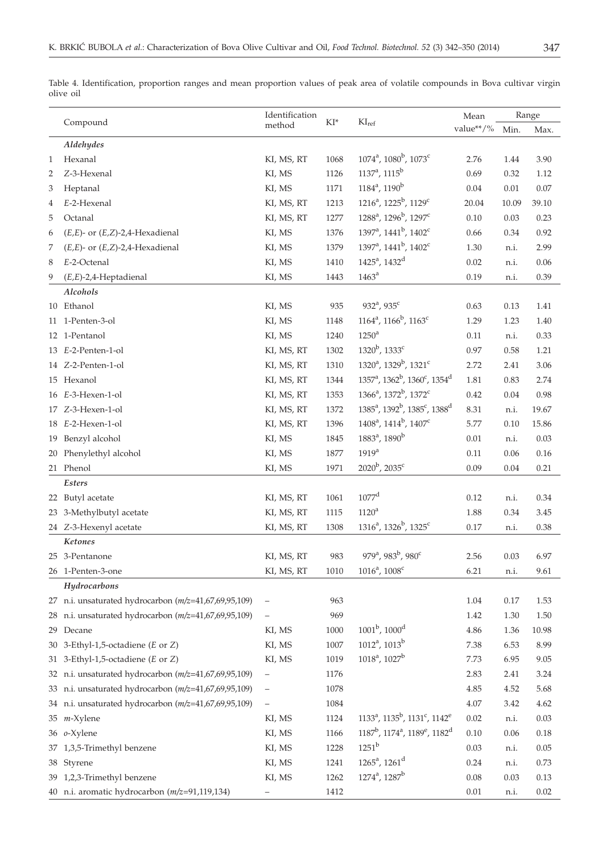|              |                                                       | Identification    |                 |                                                                               | Mean      |       | Range    |  |
|--------------|-------------------------------------------------------|-------------------|-----------------|-------------------------------------------------------------------------------|-----------|-------|----------|--|
|              | Compound                                              | method            | $\mathrm{KI}^*$ | KI <sub>ref</sub>                                                             | value**/% | Min.  | Max.     |  |
|              | Aldehydes                                             |                   |                 |                                                                               |           |       |          |  |
| $\mathbf{1}$ | Hexanal                                               | KI, MS, RT        | 1068            | $1074^a$ , $1080^b$ , $1073^c$                                                | 2.76      | 1.44  | 3.90     |  |
| 2            | Z-3-Hexenal                                           | KI, MS            | 1126            | $1137^a$ , $1115^b$                                                           | 0.69      | 0.32  | 1.12     |  |
| 3            | Heptanal                                              | KI, MS            | 1171            | $1184^a$ , $1190^b$                                                           | 0.04      | 0.01  | 0.07     |  |
| 4            | E-2-Hexenal                                           | KI, MS, RT        | 1213            | 1216 <sup>a</sup> , 1225 <sup>b</sup> , 1129 <sup>c</sup>                     | 20.04     | 10.09 | 39.10    |  |
| 5            | Octanal                                               | KI, MS, RT        | 1277            | 1288 <sup>a</sup> , 1296 <sup>b</sup> , 1297 <sup>c</sup>                     | 0.10      | 0.03  | 0.23     |  |
| 6            | $(E,E)$ - or $(E,Z)$ -2,4-Hexadienal                  | KI, MS            | 1376            | 1397 <sup>a</sup> , 1441 <sup>b</sup> , 1402 <sup>c</sup>                     | 0.66      | 0.34  | 0.92     |  |
| 7            | $(E,E)$ - or $(E,Z)$ -2,4-Hexadienal                  | KI, MS            | 1379            | 1397 <sup>a</sup> , 1441 <sup>b</sup> , 1402 <sup>c</sup>                     | 1.30      | n.i.  | 2.99     |  |
| 8            | E-2-Octenal                                           | KI, MS            | 1410            | 1425 <sup>a</sup> , 1432 <sup>d</sup>                                         | 0.02      | n.i.  | $0.06\,$ |  |
| 9            | $(E,E)$ -2,4-Heptadienal                              | KI, MS            | 1443            | 1463 <sup>a</sup>                                                             | 0.19      | n.i.  | 0.39     |  |
|              | Alcohols                                              |                   |                 |                                                                               |           |       |          |  |
|              | 10 Ethanol                                            | KI, MS            | 935             | 932 <sup>a</sup> , 935 <sup>c</sup>                                           | 0.63      | 0.13  | 1.41     |  |
|              | 11 1-Penten-3-ol                                      | KI, MS            | 1148            | $1164^a$ , $1166^b$ , $1163^c$                                                | 1.29      | 1.23  | 1.40     |  |
|              | 12 1-Pentanol                                         | KI, MS            | 1240            | $1250^a$                                                                      | 0.11      | n.i.  | 0.33     |  |
|              | 13 E-2-Penten-1-ol                                    | KI, MS, RT        | 1302            | 1320 <sup>b</sup> , 1333 <sup>c</sup>                                         | 0.97      | 0.58  | 1.21     |  |
|              | 14 Z-2-Penten-1-ol                                    | KI, MS, RT        | 1310            | 1320 <sup>a</sup> , 1329 <sup>b</sup> , 1321 <sup>c</sup>                     | 2.72      | 2.41  | 3.06     |  |
|              | 15 Hexanol                                            | KI, MS, RT        | 1344            | 1357 <sup>a</sup> , 1362 <sup>b</sup> , 1360 <sup>c</sup> , 1354 <sup>d</sup> | 1.81      | 0.83  | 2.74     |  |
|              | 16 E-3-Hexen-1-ol                                     | KI, MS, RT        | 1353            | 1366 <sup>a</sup> , 1372 <sup>b</sup> , 1372 <sup>c</sup>                     | 0.42      | 0.04  | 0.98     |  |
|              | 17 Z-3-Hexen-1-ol                                     | KI, MS, RT        | 1372            | $1385^a$ , $1392^b$ , $1385^c$ , $1388^d$                                     | 8.31      | n.i.  | 19.67    |  |
|              | 18 E-2-Hexen-1-ol                                     | KI, MS, RT        | 1396            | 1408 <sup>a</sup> , 1414 <sup>b</sup> , 1407 <sup>c</sup>                     | 5.77      | 0.10  | 15.86    |  |
|              | 19 Benzyl alcohol                                     | KI, MS            | 1845            | 1883 <sup>a</sup> , 1890 <sup>b</sup>                                         | 0.01      | n.i.  | 0.03     |  |
|              | 20 Phenylethyl alcohol                                | KI, MS            | 1877            | 1919 <sup>a</sup>                                                             | 0.11      | 0.06  | 0.16     |  |
|              | 21 Phenol                                             | KI, MS            | 1971            | $2020^{\rm b}$ , $2035^{\rm c}$                                               | 0.09      | 0.04  | 0.21     |  |
|              | $\it{Esters}$                                         |                   |                 |                                                                               |           |       |          |  |
|              | 22 Butyl acetate                                      | KI, MS, RT        | 1061            | $1077$ <sup>d</sup>                                                           | 0.12      | n.i.  | 0.34     |  |
|              | 23 3-Methylbutyl acetate                              | KI, MS, RT        | 1115            | $1120^a$                                                                      | 1.88      | 0.34  | 3.45     |  |
|              | 24 Z-3-Hexenyl acetate                                | KI, MS, RT        | 1308            | 1316 <sup>a</sup> , 1326 <sup>b</sup> , 1325 <sup>c</sup>                     | 0.17      | n.i.  | 0.38     |  |
|              | Ketones                                               |                   |                 |                                                                               |           |       |          |  |
|              | 25 3-Pentanone                                        | KI, MS, RT        | 983             | 979 <sup>a</sup> , 983 <sup>b</sup> , 980 <sup>c</sup>                        | 2.56      | 0.03  | 6.97     |  |
|              | 26 1-Penten-3-one                                     | KI, MS, RT        | 1010            | $1016^a$ , $1008^c$                                                           | 6.21      | n.i.  | 9.61     |  |
|              | Hydrocarbons                                          |                   |                 |                                                                               |           |       |          |  |
|              | 27 n.i. unsaturated hydrocarbon (m/z=41,67,69,95,109) |                   | 963             |                                                                               | 1.04      | 0.17  | 1.53     |  |
|              | 28 n.i. unsaturated hydrocarbon (m/z=41,67,69,95,109) |                   | 969             |                                                                               | 1.42      | 1.30  | 1.50     |  |
|              | 29 Decane                                             | KI, MS            | 1000            | $1001^{\rm b}$ , $1000^{\rm d}$                                               | 4.86      | 1.36  | 10.98    |  |
|              | 30 3-Ethyl-1,5-octadiene ( $E$ or $Z$ )               | KI, MS            | 1007            | $1012^a$ , $1013^b$                                                           | 7.38      | 6.53  | 8.99     |  |
|              | 31 3-Ethyl-1,5-octadiene (E or Z)                     | KI, MS            | 1019            | $1018^a$ , $1027^b$                                                           | 7.73      | 6.95  | 9.05     |  |
|              | 32 n.i. unsaturated hydrocarbon (m/z=41,67,69,95,109) |                   | 1176            |                                                                               | 2.83      | 2.41  | 3.24     |  |
|              | 33 n.i. unsaturated hydrocarbon (m/z=41,67,69,95,109) | $\qquad \qquad -$ | 1078            |                                                                               | 4.85      | 4.52  | 5.68     |  |
|              | 34 n.i. unsaturated hydrocarbon (m/z=41,67,69,95,109) | $\qquad \qquad -$ | 1084            |                                                                               | 4.07      | 3.42  | 4.62     |  |
|              | 35 <i>m</i> -Xylene                                   | KI, MS            | 1124            | $1133^a$ , $1135^b$ , $1131^c$ , $1142^e$                                     | 0.02      | n.i.  | 0.03     |  |
|              | 36 o-Xylene                                           | KI, MS            | 1166            | $1187^b$ , $1174^a$ , $1189^e$ , $1182^d$                                     | 0.10      | 0.06  | 0.18     |  |
|              | 37 1,3,5-Trimethyl benzene                            | KI, MS            | 1228            | $1251^b$                                                                      | 0.03      | n.i.  | 0.05     |  |
|              | 38 Styrene                                            | KI, MS            | 1241            | $1265^a$ , $1261^d$                                                           | 0.24      | n.i.  | 0.73     |  |
|              | 39 1,2,3-Trimethyl benzene                            | KI, MS            | 1262            | 1274 <sup>a</sup> , 1287 <sup>b</sup>                                         | 0.08      | 0.03  | 0.13     |  |

40 n.i. aromatic hydrocarbon (*m/z*=91,119,134) – 1412 0.01 n.i. 0.02

Table 4. Identification, proportion ranges and mean proportion values of peak area of volatile compounds in Bova cultivar virgin olive oil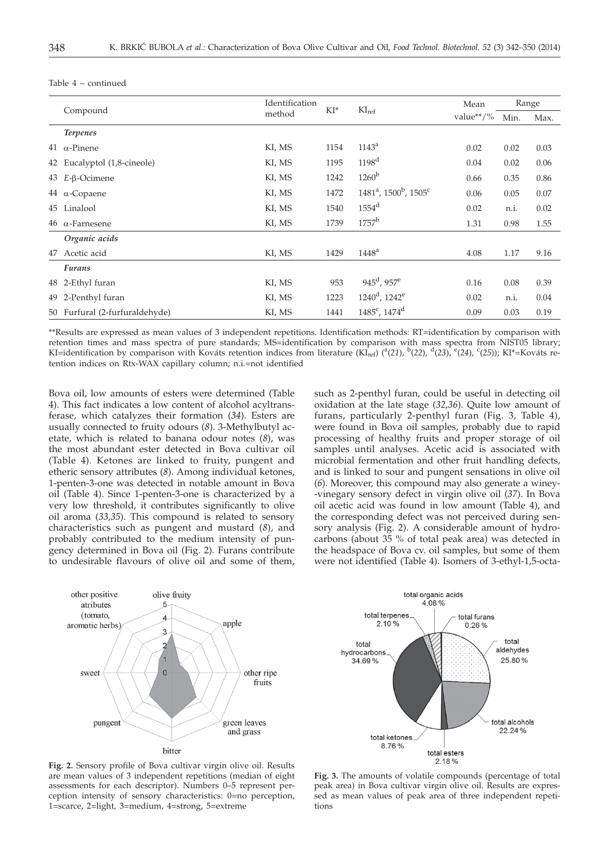| Compound |                                | Identification | $KI^*$ |                                                           | Mean      | Range |      |
|----------|--------------------------------|----------------|--------|-----------------------------------------------------------|-----------|-------|------|
|          |                                | method         |        | KI <sub>ref</sub>                                         | value**/% | Min.  | Max. |
|          | <b>Terpenes</b>                |                |        |                                                           |           |       |      |
|          | 41 $\alpha$ -Pinene            | KI, MS         | 1154   | 1143 <sup>a</sup>                                         | 0.02      | 0.02  | 0.03 |
|          | 42 Eucalyptol (1,8-cineole)    | KI, MS         | 1195   | 1198 <sup>d</sup>                                         | 0.04      | 0.02  | 0.06 |
|          | $43$ <i>E-β-Ocimene</i>        | KI, MS         | 1242   | $1260^{\mathrm{b}}$                                       | 0.66      | 0.35  | 0.86 |
|          | 44 $\alpha$ -Copaene           | KI, MS         | 1472   | 1481 <sup>a</sup> , 1500 <sup>b</sup> , 1505 <sup>c</sup> | 0.06      | 0.05  | 0.07 |
|          | 45 Linalool                    | KI, MS         | 1540   | $1554$ <sup>d</sup>                                       | 0.02      | n.i.  | 0.02 |
|          | $46\alpha$ -Farnesene          | KI, MS         | 1739   | $1757^{\rm b}$                                            | 1.31      | 0.98  | 1.55 |
|          | Organic acids                  |                |        |                                                           |           |       |      |
|          | 47 Acetic acid                 | KI, MS         | 1429   | $1448^{\rm a}$                                            | 4.08      | 1.17  | 9.16 |
|          | <b>Furans</b>                  |                |        |                                                           |           |       |      |
|          | 48 2-Ethyl furan               | KI, MS         | 953    | $945^{\rm d}$ , $957^{\rm e}$                             | 0.16      | 0.08  | 0.39 |
|          | 49 2-Penthyl furan             | KI, MS         | 1223   | $1240^{\rm d}$ , $1242^{\rm e}$                           | 0.02      | n.i.  | 0.04 |
|          | 50 Furfural (2-furfuraldehyde) | KI, MS         | 1441   | $1485^c$ , $1474^d$                                       | 0.09      | 0.03  | 0.19 |

Table 4 – continued

\*\*Results are expressed as mean values of 3 independent repetitions. Identification methods: RT=identification by comparison with retention times and mass spectra of pure standards; MS=identification by comparison with mass spectra from NIST05 library; KI=identification by comparison with Kováts retention indices from literature (KI<sub>ref</sub>) (<sup>a</sup>(21), <sup>b</sup>(22), <sup>d</sup>(23), <sup>e</sup>(24), <sup>c</sup>(25)); KI\*=Kováts retention indices on Rtx-WAX capillary column; n.i.=not identified

Bova oil, low amounts of esters were determined (Table 4). This fact indicates a low content of alcohol acyltransferase, which catalyzes their formation (*34*). Esters are usually connected to fruity odours (*8*). 3-Methylbutyl acetate, which is related to banana odour notes (*8*), was the most abundant ester detected in Bova cultivar oil (Table 4). Ketones are linked to fruity, pungent and etheric sensory attributes (*8*). Among individual ketones, 1-penten-3-one was detected in notable amount in Bova oil (Table 4). Since 1-penten-3-one is characterized by a very low threshold, it contributes significantly to olive oil aroma (*33,35*). This compound is related to sensory characteristics such as pungent and mustard (*8*), and probably contributed to the medium intensity of pungency determined in Bova oil (Fig. 2). Furans contribute to undesirable flavours of olive oil and some of them, such as 2-penthyl furan, could be useful in detecting oil oxidation at the late stage (*32,36*). Quite low amount of furans, particularly 2-penthyl furan (Fig. 3, Table 4), were found in Bova oil samples, probably due to rapid processing of healthy fruits and proper storage of oil samples until analyses. Acetic acid is associated with microbial fermentation and other fruit handling defects, and is linked to sour and pungent sensations in olive oil (*6*). Moreover, this compound may also generate a winey- -vinegary sensory defect in virgin olive oil (*37*). In Bova oil acetic acid was found in low amount (Table 4), and the corresponding defect was not perceived during sensory analysis (Fig. 2). A considerable amount of hydrocarbons (about 35 % of total peak area) was detected in the headspace of Bova cv. oil samples, but some of them were not identified (Table 4). Isomers of 3-ethyl-1,5-octa-





**Fig. 2.** Sensory profile of Bova cultivar virgin olive oil. Results are mean values of 3 independent repetitions (median of eight assessments for each descriptor). Numbers 0–5 represent perception intensity of sensory characteristics: 0=no perception, 1=scarce, 2=light, 3=medium, 4=strong, 5=extreme

**Fig. 3.** The amounts of volatile compounds (percentage of total peak area) in Bova cultivar virgin olive oil. Results are expressed as mean values of peak area of three independent repetitions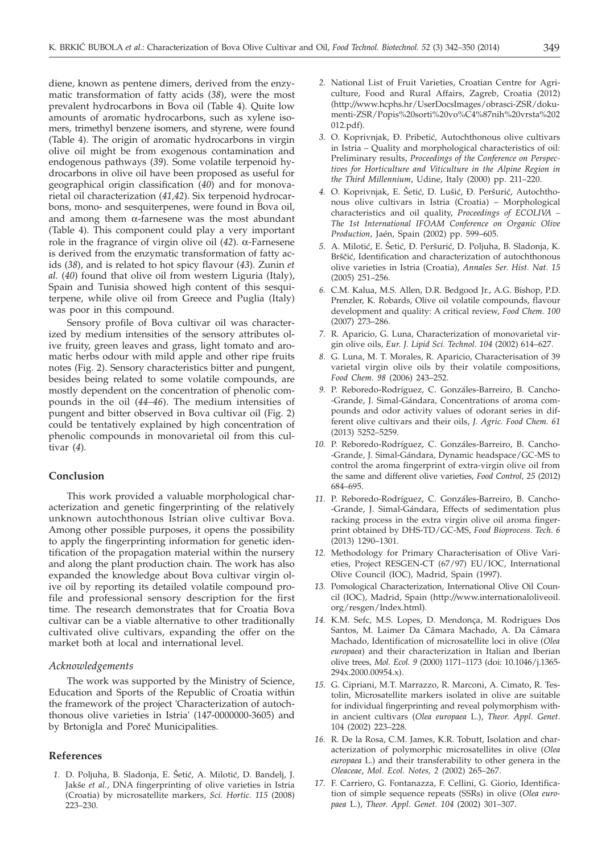diene, known as pentene dimers, derived from the enzymatic transformation of fatty acids (*38*), were the most prevalent hydrocarbons in Bova oil (Table 4). Quite low amounts of aromatic hydrocarbons, such as xylene isomers, trimethyl benzene isomers, and styrene, were found (Table 4). The origin of aromatic hydrocarbons in virgin olive oil might be from exogenous contamination and endogenous pathways (*39*). Some volatile terpenoid hydrocarbons in olive oil have been proposed as useful for geographical origin classification (*40*) and for monovarietal oil characterization (*41,42*). Six terpenoid hydrocarbons, mono- and sesquiterpenes, were found in Bova oil, and among them  $\alpha$ -farnesene was the most abundant (Table 4). This component could play a very important role in the fragrance of virgin olive oil  $(42)$ .  $\alpha$ -Farnesene is derived from the enzymatic transformation of fatty acids (*38*), and is related to hot spicy flavour (*43*). Zunin *et al.* (*40*) found that olive oil from western Liguria (Italy), Spain and Tunisia showed high content of this sesquiterpene, while olive oil from Greece and Puglia (Italy) was poor in this compound.

Sensory profile of Bova cultivar oil was characterized by medium intensities of the sensory attributes olive fruity, green leaves and grass, light tomato and aromatic herbs odour with mild apple and other ripe fruits notes (Fig. 2). Sensory characteristics bitter and pungent, besides being related to some volatile compounds, are mostly dependent on the concentration of phenolic compounds in the oil (*44–46*). The medium intensities of pungent and bitter observed in Bova cultivar oil (Fig. 2) could be tentatively explained by high concentration of phenolic compounds in monovarietal oil from this cultivar (*4*).

## **Conclusion**

This work provided a valuable morphological characterization and genetic fingerprinting of the relatively unknown autochthonous Istrian olive cultivar Bova. Among other possible purposes, it opens the possibility to apply the fingerprinting information for genetic identification of the propagation material within the nursery and along the plant production chain. The work has also expanded the knowledge about Bova cultivar virgin olive oil by reporting its detailed volatile compound profile and professional sensory description for the first time. The research demonstrates that for Croatia Bova cultivar can be a viable alternative to other traditionally cultivated olive cultivars, expanding the offer on the market both at local and international level.

# *Acknowledgements*

The work was supported by the Ministry of Science, Education and Sports of the Republic of Croatia within the framework of the project 'Characterization of autochthonous olive varieties in Istria' (147-0000000-3605) and by Brtonigla and Poreč Municipalities.

## **References**

1. D. Poljuha, B. Sladonja, E. Šetić, A. Milotić, D. Bandelj, J. Jakše *et al.*, DNA fingerprinting of olive varieties in Istria (Croatia) by microsatellite markers, *Sci. Hortic. 115* (2008) 223–230.

- *2.* National List of Fruit Varieties, Croatian Centre for Agriculture, Food and Rural Affairs, Zagreb, Croatia (2012) (http:*//*www.hcphs.hr/UserDocsImages/obrasci-ZSR/dokumenti-ZSR/Popis%20sorti%20vo%C4%87nih%20vrsta%202 012.pdf).
- 3. O. Koprivnjak, Đ. Pribetić, Autochthonous olive cultivars in Istria – Quality and morphological characteristics of oil: Preliminary results, *Proceedings of the Conference on Perspectives for Horticulture and Viticulture in the Alpine Region in the Third Millennium*, Udine, Italy (2000) pp. 211–220.
- 4. O. Koprivnjak, E. Šetić, D. Lušić, Đ. Peršurić, Autochthonous olive cultivars in Istria (Croatia) – Morphological characteristics and oil quality, *Proceedings of ECOLIVA – The 1st International IFOAM Conference on Organic Olive Production*, Jaén, Spain (2002) pp. 599–605.
- 5. A. Milotić, E. Šetić, Đ. Peršurić, D. Poljuha, B. Sladonja, K. Brščić, Identification and characterization of autochthonous olive varieties in Istria (Croatia), *Annales Ser. Hist. Nat. 15* (2005) 251–256.
- *6.* C.M. Kalua, M.S. Allen, D.R. Bedgood Jr., A.G. Bishop, P.D. Prenzler, K. Robards, Olive oil volatile compounds, flavour development and quality: A critical review, *Food Chem. 100* (2007) 273–286.
- *7.* R. Aparicio, G. Luna, Characterization of monovarietal virgin olive oils, *Eur. J. Lipid Sci. Technol. 104* (2002) 614–627.
- *8.* G. Luna, M. T. Morales, R. Aparicio, Characterisation of 39 varietal virgin olive oils by their volatile compositions, *Food Chem. 98* (2006) 243–252.
- *9.* P. Reboredo-Rodríguez, C. Gonzáles-Barreiro, B. Cancho- -Grande, J. Simal-Gándara, Concentrations of aroma compounds and odor activity values of odorant series in different olive cultivars and their oils, *J. Agric. Food Chem. 61* (2013) 5252–5259.
- *10.* P. Reboredo-Rodríguez, C. Gonzáles-Barreiro, B. Cancho- -Grande, J. Simal-Gándara, Dynamic headspace/GC-MS to control the aroma fingerprint of extra-virgin olive oil from the same and different olive varieties, *Food Control, 25* (2012) 684–695.
- *11.* P. Reboredo-Rodríguez, C. Gonzáles-Barreiro, B. Cancho- -Grande, J. Simal-Gándara, Effects of sedimentation plus racking process in the extra virgin olive oil aroma fingerprint obtained by DHS-TD/GC-MS, *Food Bioprocess. Tech. 6* (2013) 1290–1301.
- *12.* Methodology for Primary Characterisation of Olive Varieties, Project RESGEN-CT (67/97) EU/IOC, International Olive Council (IOC), Madrid, Spain (1997).
- *13.* Pomological Characterization, International Olive Oil Council (IOC), Madrid, Spain (http:*//*www.internationaloliveoil. org/resgen/Index.html).
- *14.* K.M. Sefc, M.S. Lopes, D. Mendonça, M. Rodrigues Dos Santos, M. Laimer Da Câmara Machado, A. Da Câmara Machado, Identification of microsatellite loci in olive (*Olea europaea*) and their characterization in Italian and Iberian olive trees, *Mol. Ecol. 9* (2000) 1171–1173 (doi: 10.1046/j.1365- 294x.2000.00954.x).
- *15.* G. Cipriani, M.T. Marrazzo, R. Marconi, A. Cimato, R. Testolin, Microsatellite markers isolated in olive are suitable for individual fingerprinting and reveal polymorphism within ancient cultivars (*Olea europaea* L.), *Theor. Appl. Genet*. 104 (2002) 223–228.
- *16.* R. De la Rosa, C.M. James, K.R. Tobutt, Isolation and characterization of polymorphic microsatellites in olive (*Olea europaea* L.) and their transferability to other genera in the *Oleaceae*, *Mol. Ecol. Notes, 2* (2002) 265–267.
- *17.* F. Carriero, G. Fontanazza, F. Cellini, G. Giorio, Identification of simple sequence repeats (SSRs) in olive (*Olea europaea* L.), *Theor. Appl. Genet. 104* (2002) 301–307.